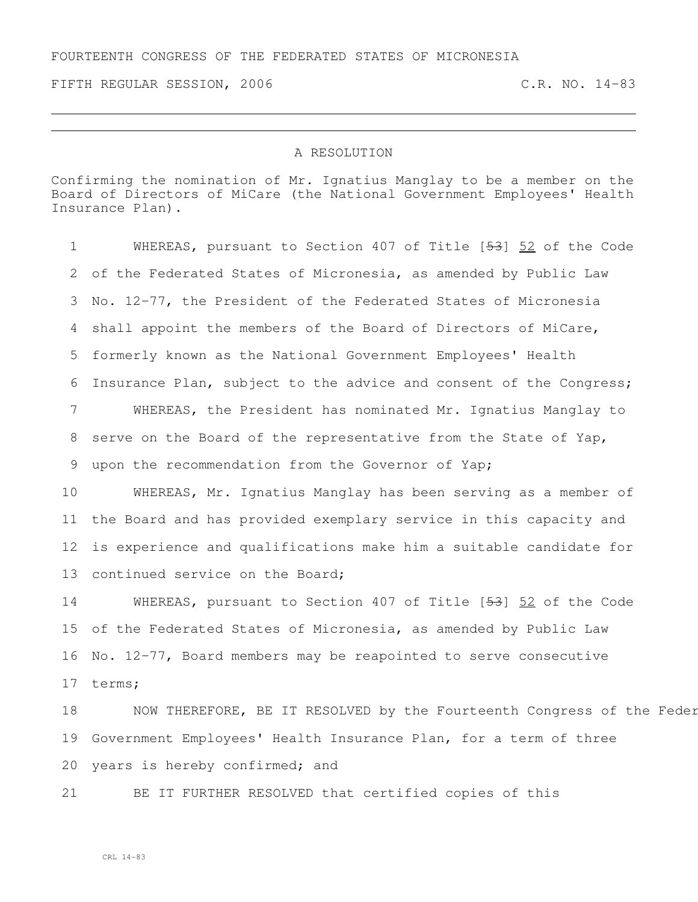FIFTH REGULAR SESSION, 2006 C.R. NO. 14-83

## A RESOLUTION

Confirming the nomination of Mr. Ignatius Manglay to be a member on the Board of Directors of MiCare (the National Government Employees' Health Insurance Plan).

 WHEREAS, pursuant to Section 407 of Title [53] 52 of the Code of the Federated States of Micronesia, as amended by Public Law No. 12-77, the President of the Federated States of Micronesia shall appoint the members of the Board of Directors of MiCare, formerly known as the National Government Employees' Health Insurance Plan, subject to the advice and consent of the Congress; WHEREAS, the President has nominated Mr. Ignatius Manglay to serve on the Board of the representative from the State of Yap, upon the recommendation from the Governor of Yap; WHEREAS, Mr. Ignatius Manglay has been serving as a member of the Board and has provided exemplary service in this capacity and is experience and qualifications make him a suitable candidate for continued service on the Board; WHEREAS, pursuant to Section 407 of Title [53] 52 of the Code of the Federated States of Micronesia, as amended by Public Law No. 12-77, Board members may be reapointed to serve consecutive terms; 18 NOW THEREFORE, BE IT RESOLVED by the Fourteenth Congress of the Feder Government Employees' Health Insurance Plan, for a term of three

years is hereby confirmed; and

BE IT FURTHER RESOLVED that certified copies of this

CRL 14-83